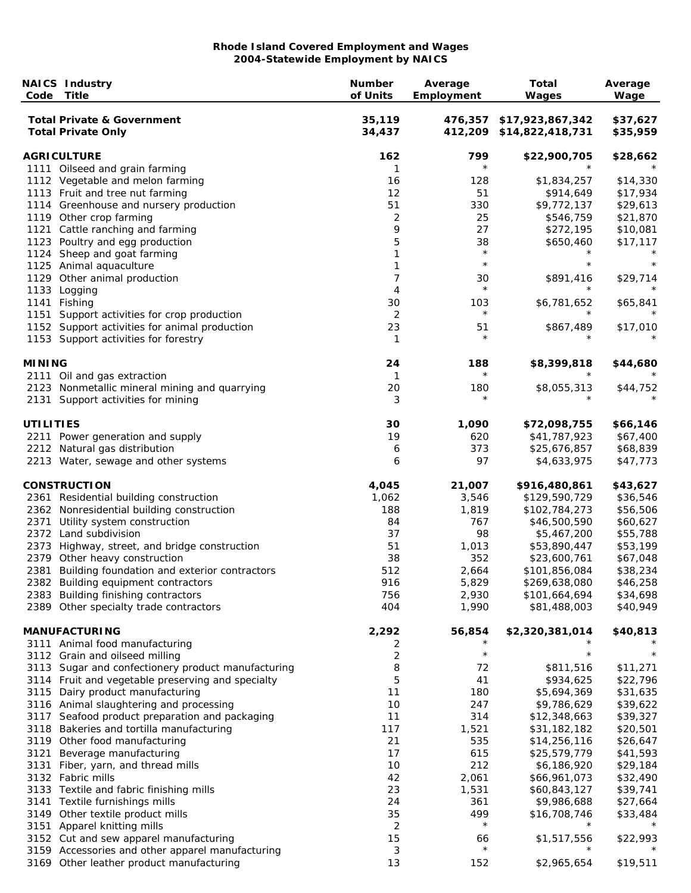| Code             | <b>NAICS Industry</b><br><b>Title</b>                                       | <b>Number</b><br>of Units | Average<br>Employment | <b>Total</b><br>Wages                | Average<br>Wage      |
|------------------|-----------------------------------------------------------------------------|---------------------------|-----------------------|--------------------------------------|----------------------|
|                  | <b>Total Private &amp; Government</b><br><b>Total Private Only</b>          | 35,119<br>34,437          | 476,357<br>412,209    | \$17,923,867,342<br>\$14,822,418,731 | \$37,627<br>\$35,959 |
|                  | <b>AGRICULTURE</b>                                                          | 162                       | 799                   | \$22,900,705                         | \$28,662             |
|                  | 1111 Oilseed and grain farming                                              | 1                         | $\star$               |                                      |                      |
|                  | 1112 Vegetable and melon farming                                            | 16                        | 128                   | \$1,834,257                          | \$14,330             |
|                  | 1113 Fruit and tree nut farming                                             | 12                        | 51                    | \$914,649                            | \$17,934             |
|                  | 1114 Greenhouse and nursery production                                      | 51                        | 330                   | \$9,772,137                          | \$29,613             |
|                  | 1119 Other crop farming                                                     | $\overline{2}$            | 25                    | \$546,759                            | \$21,870             |
|                  | 1121 Cattle ranching and farming                                            | 9                         | 27                    | \$272,195                            | \$10,081             |
|                  | 1123 Poultry and egg production                                             | 5                         | 38<br>$\star$         | \$650,460<br>$^\star$                | \$17,117             |
|                  | 1124 Sheep and goat farming                                                 | 1                         | $\star$               | $^\star$                             |                      |
|                  | 1125 Animal aquaculture                                                     | 1                         |                       |                                      |                      |
|                  | 1129 Other animal production<br>1133 Logging                                | 7<br>4                    | 30<br>$\star$         | \$891,416                            | \$29,714             |
|                  | 1141 Fishing                                                                | 30                        | 103                   | \$6,781,652                          | \$65,841             |
|                  | 1151 Support activities for crop production                                 | 2                         | $\star$               |                                      |                      |
|                  | 1152 Support activities for animal production                               | 23                        | 51                    | \$867,489                            | \$17,010             |
|                  | 1153 Support activities for forestry                                        | $\mathbf{1}$              | $\star$               |                                      |                      |
| <b>MINING</b>    |                                                                             | 24                        | 188                   | \$8,399,818                          | \$44,680             |
|                  | 2111 Oil and gas extraction                                                 | $\mathbf{1}$              | $^\star$              | $^\star$                             |                      |
|                  | 2123 Nonmetallic mineral mining and quarrying                               | 20                        | 180                   | \$8,055,313                          | \$44,752             |
|                  | 2131 Support activities for mining                                          | 3                         | $\star$               |                                      |                      |
| <b>UTILITIES</b> |                                                                             | 30                        | 1,090                 | \$72,098,755                         | \$66,146             |
|                  | 2211 Power generation and supply                                            | 19                        | 620                   | \$41,787,923                         | \$67,400             |
|                  | 2212 Natural gas distribution                                               | 6                         | 373                   | \$25,676,857                         | \$68,839             |
|                  | 2213 Water, sewage and other systems                                        | 6                         | 97                    | \$4,633,975                          | \$47,773             |
|                  | <b>CONSTRUCTION</b>                                                         | 4,045                     | 21,007                | \$916,480,861                        | \$43,627             |
|                  | 2361 Residential building construction                                      | 1,062                     | 3,546                 | \$129,590,729                        | \$36,546             |
|                  | 2362 Nonresidential building construction                                   | 188                       | 1,819                 | \$102,784,273                        | \$56,506             |
| 2371             | Utility system construction                                                 | 84                        | 767                   | \$46,500,590                         | \$60,627             |
|                  | 2372 Land subdivision                                                       | 37                        | 98                    | \$5,467,200                          | \$55,788             |
|                  | 2373 Highway, street, and bridge construction                               | 51                        | 1,013                 | \$53,890,447                         | \$53,199             |
|                  | 2379 Other heavy construction                                               | 38                        | 352                   | \$23,600,761                         | \$67,048             |
|                  | 2381 Building foundation and exterior contractors                           | 512                       | 2,664                 | \$101,856,084                        | \$38,234             |
|                  | 2382 Building equipment contractors                                         | 916                       | 5,829                 | \$269,638,080                        | \$46,258             |
|                  | 2383 Building finishing contractors                                         | 756                       | 2,930                 | \$101,664,694                        | \$34,698             |
|                  | 2389 Other specialty trade contractors                                      | 404                       | 1,990                 | \$81,488,003                         | \$40,949             |
|                  | <b>MANUFACTURING</b>                                                        | 2,292                     | 56,854                | \$2,320,381,014                      | \$40,813             |
|                  | 3111 Animal food manufacturing                                              | 2                         | $\star$               | $\star$                              | $\star$              |
|                  | 3112 Grain and oilseed milling                                              | 2                         |                       |                                      |                      |
|                  | 3113 Sugar and confectionery product manufacturing                          | 8                         | 72                    | \$811,516                            | \$11,271             |
|                  | 3114 Fruit and vegetable preserving and specialty                           | 5<br>11                   | 41                    | \$934,625                            | \$22,796<br>\$31,635 |
|                  | 3115 Dairy product manufacturing<br>3116 Animal slaughtering and processing | 10                        | 180<br>247            | \$5,694,369<br>\$9,786,629           | \$39,622             |
|                  | 3117 Seafood product preparation and packaging                              | 11                        | 314                   | \$12,348,663                         | \$39,327             |
|                  | 3118 Bakeries and tortilla manufacturing                                    | 117                       | 1,521                 | \$31,182,182                         | \$20,501             |
|                  | 3119 Other food manufacturing                                               | 21                        | 535                   | \$14,256,116                         | \$26,647             |
| 3121             | Beverage manufacturing                                                      | 17                        | 615                   | \$25,579,779                         | \$41,593             |
| 3131             | Fiber, yarn, and thread mills                                               | 10                        | 212                   | \$6,186,920                          | \$29,184             |
|                  | 3132 Fabric mills                                                           | 42                        | 2,061                 | \$66,961,073                         | \$32,490             |
|                  | 3133 Textile and fabric finishing mills                                     | 23                        | 1,531                 | \$60,843,127                         | \$39,741             |
|                  | 3141 Textile furnishings mills                                              | 24                        | 361                   | \$9,986,688                          | \$27,664             |
|                  | 3149 Other textile product mills                                            | 35                        | 499                   | \$16,708,746                         | \$33,484             |
|                  | 3151 Apparel knitting mills                                                 | 2                         | $\star$               | $^\star$                             |                      |
|                  | 3152 Cut and sew apparel manufacturing                                      | 15                        | 66                    | \$1,517,556                          | \$22,993             |
|                  | 3159 Accessories and other apparel manufacturing                            | 3                         | $\star$               |                                      |                      |
|                  | 3169 Other leather product manufacturing                                    | 13                        | 152                   | \$2,965,654                          | \$19,511             |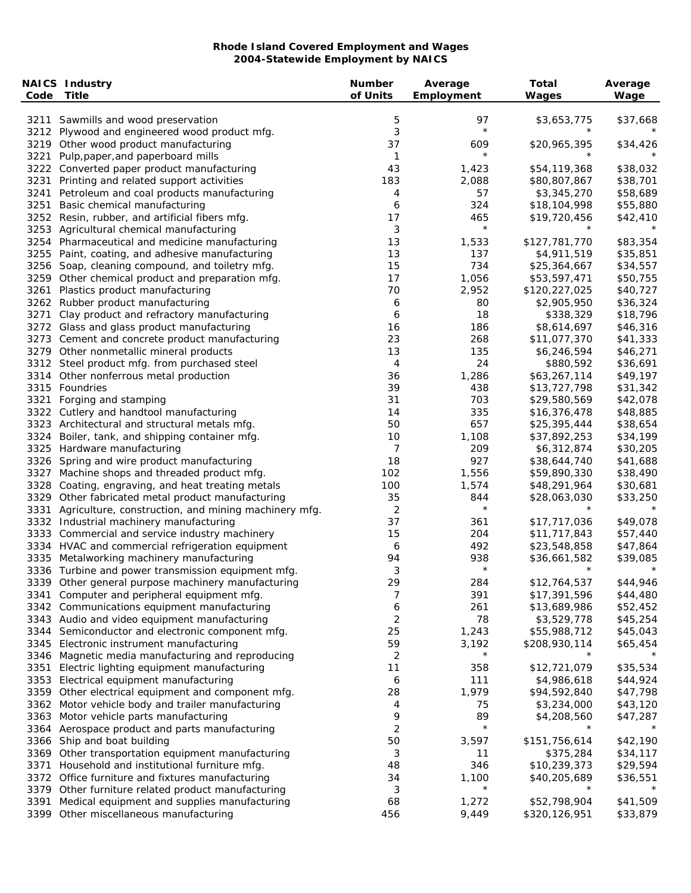| Code | <b>NAICS Industry</b><br><b>Title</b>                                                              | <b>Number</b><br>of Units | Average<br>Employment | <b>Total</b><br>Wages        | Average<br>Wage      |
|------|----------------------------------------------------------------------------------------------------|---------------------------|-----------------------|------------------------------|----------------------|
|      |                                                                                                    |                           |                       |                              |                      |
|      | 3211 Sawmills and wood preservation                                                                | 5                         | 97                    | \$3,653,775                  | \$37,668             |
|      | 3212 Plywood and engineered wood product mfg.                                                      | 3                         | $\star$               | $^\star$                     |                      |
|      | 3219 Other wood product manufacturing                                                              | 37                        | 609<br>$\star$        | \$20,965,395                 | \$34,426             |
| 3221 | Pulp, paper, and paperboard mills                                                                  | $\mathbf{1}$<br>43        | 1,423                 | \$54,119,368                 | \$38,032             |
| 3231 | 3222 Converted paper product manufacturing<br>Printing and related support activities              | 183                       | 2,088                 | \$80,807,867                 | \$38,701             |
| 3241 | Petroleum and coal products manufacturing                                                          | 4                         | 57                    | \$3,345,270                  | \$58,689             |
| 3251 | Basic chemical manufacturing                                                                       | 6                         | 324                   | \$18,104,998                 | \$55,880             |
|      | 3252 Resin, rubber, and artificial fibers mfg.                                                     | 17                        | 465                   | \$19,720,456                 | \$42,410             |
|      | 3253 Agricultural chemical manufacturing                                                           | 3                         | $\star$               | $^\star$                     |                      |
| 3254 | Pharmaceutical and medicine manufacturing                                                          | 13                        | 1,533                 | \$127,781,770                | \$83,354             |
|      | 3255 Paint, coating, and adhesive manufacturing                                                    | 13                        | 137                   | \$4,911,519                  | \$35,851             |
|      | 3256 Soap, cleaning compound, and toiletry mfg.                                                    | 15                        | 734                   | \$25,364,667                 | \$34,557             |
|      | 3259 Other chemical product and preparation mfg.                                                   | 17                        | 1,056                 | \$53,597,471                 | \$50,755             |
| 3261 | Plastics product manufacturing                                                                     | 70                        | 2,952                 | \$120,227,025                | \$40,727             |
|      | 3262 Rubber product manufacturing                                                                  | 6                         | 80                    | \$2,905,950                  | \$36,324             |
| 3271 | Clay product and refractory manufacturing                                                          | 6                         | 18                    | \$338,329                    | \$18,796             |
|      | 3272 Glass and glass product manufacturing                                                         | 16                        | 186                   | \$8,614,697                  | \$46,316             |
|      | 3273 Cement and concrete product manufacturing                                                     | 23                        | 268                   | \$11,077,370                 | \$41,333             |
|      | 3279 Other nonmetallic mineral products                                                            | 13                        | 135                   | \$6,246,594                  | \$46,271             |
|      | 3312 Steel product mfg. from purchased steel                                                       | 4                         | 24                    | \$880,592                    | \$36,691             |
|      | 3314 Other nonferrous metal production                                                             | 36                        | 1,286                 | \$63,267,114                 | \$49,197             |
|      | 3315 Foundries                                                                                     | 39                        | 438                   | \$13,727,798                 | \$31,342             |
| 3321 | Forging and stamping                                                                               | 31                        | 703                   | \$29,580,569                 | \$42,078             |
|      | 3322 Cutlery and handtool manufacturing                                                            | 14                        | 335                   | \$16,376,478                 | \$48,885             |
|      | 3323 Architectural and structural metals mfg.                                                      | 50                        | 657                   | \$25,395,444                 | \$38,654             |
|      | 3324 Boiler, tank, and shipping container mfg.                                                     | 10                        | 1,108                 | \$37,892,253                 | \$34,199             |
|      | 3325 Hardware manufacturing                                                                        | 7                         | 209                   | \$6,312,874                  | \$30,205             |
|      | 3326 Spring and wire product manufacturing                                                         | 18                        | 927                   | \$38,644,740                 | \$41,688             |
| 3327 | Machine shops and threaded product mfg.                                                            | 102                       | 1,556                 | \$59,890,330                 | \$38,490             |
| 3328 | Coating, engraving, and heat treating metals                                                       | 100                       | 1,574                 | \$48,291,964                 | \$30,681             |
|      | 3329 Other fabricated metal product manufacturing                                                  | 35                        | 844<br>$\star$        | \$28,063,030<br>$^\star$     | \$33,250<br>$\star$  |
| 3331 | Agriculture, construction, and mining machinery mfg.                                               | 2<br>37                   |                       | \$17,717,036                 | \$49,078             |
|      | 3332 Industrial machinery manufacturing                                                            | 15                        | 361<br>204            |                              |                      |
|      | 3333 Commercial and service industry machinery<br>3334 HVAC and commercial refrigeration equipment | 6                         | 492                   | \$11,717,843<br>\$23,548,858 | \$57,440<br>\$47,864 |
|      | 3335 Metalworking machinery manufacturing                                                          | 94                        | 938                   | \$36,661,582                 | \$39,085             |
|      | 3336 Turbine and power transmission equipment mfg.                                                 | 3                         | $\star$               | $^\star$                     |                      |
|      | 3339 Other general purpose machinery manufacturing                                                 | 29                        | 284                   | \$12,764,537                 | \$44,946             |
|      | 3341 Computer and peripheral equipment mfg.                                                        | 7                         | 391                   | \$17,391,596                 | \$44,480             |
|      | 3342 Communications equipment manufacturing                                                        | 6                         | 261                   | \$13,689,986                 | \$52,452             |
|      | 3343 Audio and video equipment manufacturing                                                       | 2                         | 78                    | \$3,529,778                  | \$45,254             |
| 3344 | Semiconductor and electronic component mfg.                                                        | 25                        | 1,243                 | \$55,988,712                 | \$45,043             |
| 3345 | Electronic instrument manufacturing                                                                | 59                        | 3,192                 | \$208,930,114                | \$65,454             |
| 3346 | Magnetic media manufacturing and reproducing                                                       | 2                         | $\star$               | $^\star$                     |                      |
| 3351 | Electric lighting equipment manufacturing                                                          | 11                        | 358                   | \$12,721,079                 | \$35,534             |
|      | 3353 Electrical equipment manufacturing                                                            | 6                         | 111                   | \$4,986,618                  | \$44,924             |
|      | 3359 Other electrical equipment and component mfg.                                                 | 28                        | 1,979                 | \$94,592,840                 | \$47,798             |
|      | 3362 Motor vehicle body and trailer manufacturing                                                  | 4                         | 75                    | \$3,234,000                  | \$43,120             |
| 3363 | Motor vehicle parts manufacturing                                                                  | 9                         | 89                    | \$4,208,560                  | \$47,287             |
|      | 3364 Aerospace product and parts manufacturing                                                     | 2                         | $\star$               |                              |                      |
| 3366 | Ship and boat building                                                                             | 50                        | 3,597                 | \$151,756,614                | \$42,190             |
|      | 3369 Other transportation equipment manufacturing                                                  | 3                         | 11                    | \$375,284                    | \$34,117             |
| 3371 | Household and institutional furniture mfg.                                                         | 48                        | 346                   | \$10,239,373                 | \$29,594             |
| 3372 | Office furniture and fixtures manufacturing                                                        | 34                        | 1,100                 | \$40,205,689                 | \$36,551             |
| 3379 | Other furniture related product manufacturing                                                      | 3                         | $\star$               | $^\star$                     |                      |
| 3391 | Medical equipment and supplies manufacturing                                                       | 68                        | 1,272                 | \$52,798,904                 | \$41,509             |
| 3399 | Other miscellaneous manufacturing                                                                  | 456                       | 9,449                 | \$320,126,951                | \$33,879             |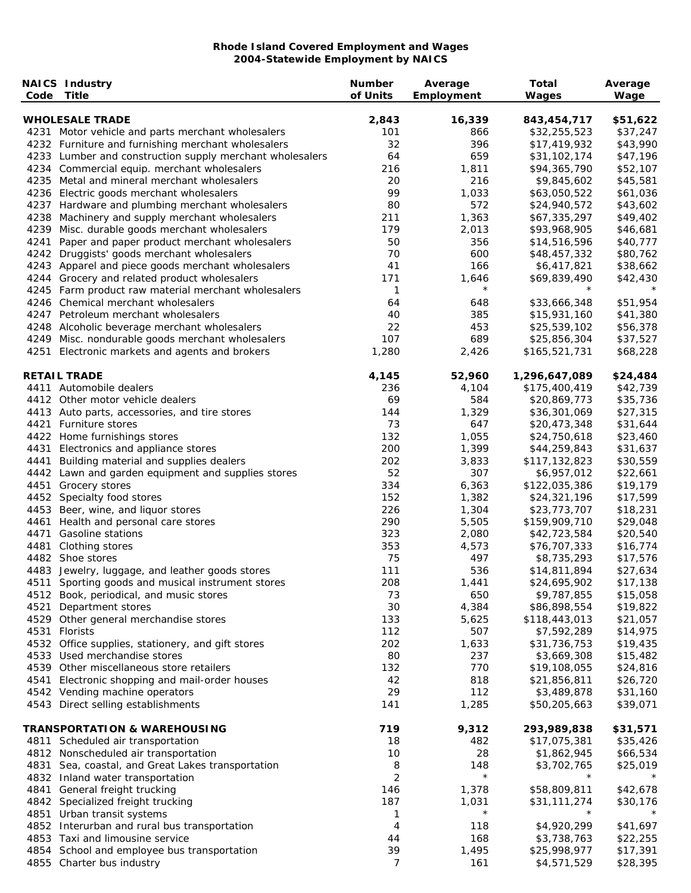|      | <b>NAICS Industry</b><br>Code Title                      | <b>Number</b><br>of Units | Average<br>Employment | <b>Total</b><br>Wages | Average<br>Wage |
|------|----------------------------------------------------------|---------------------------|-----------------------|-----------------------|-----------------|
|      | <b>WHOLESALE TRADE</b>                                   | 2,843                     | 16,339                | 843,454,717           | \$51,622        |
|      | 4231 Motor vehicle and parts merchant wholesalers        | 101                       | 866                   | \$32,255,523          | \$37,247        |
|      | 4232 Furniture and furnishing merchant wholesalers       | 32                        | 396                   | \$17,419,932          | \$43,990        |
|      | 4233 Lumber and construction supply merchant wholesalers | 64                        | 659                   | \$31,102,174          | \$47,196        |
|      | 4234 Commercial equip. merchant wholesalers              | 216                       | 1,811                 | \$94,365,790          | \$52,107        |
|      | 4235 Metal and mineral merchant wholesalers              | 20                        | 216                   | \$9,845,602           | \$45,581        |
|      | 4236 Electric goods merchant wholesalers                 | 99                        | 1,033                 | \$63,050,522          | \$61,036        |
|      | 4237 Hardware and plumbing merchant wholesalers          | 80                        | 572                   | \$24,940,572          | \$43,602        |
|      | 4238 Machinery and supply merchant wholesalers           | 211                       | 1,363                 | \$67,335,297          | \$49,402        |
|      | 4239 Misc. durable goods merchant wholesalers            | 179                       | 2,013                 | \$93,968,905          | \$46,681        |
|      | 4241 Paper and paper product merchant wholesalers        | 50                        | 356                   | \$14,516,596          | \$40,777        |
|      | 4242 Druggists' goods merchant wholesalers               | 70                        | 600                   | \$48,457,332          | \$80,762        |
|      | 4243 Apparel and piece goods merchant wholesalers        | 41                        | 166                   | \$6,417,821           | \$38,662        |
|      | 4244 Grocery and related product wholesalers             | 171                       | 1,646                 | \$69,839,490          | \$42,430        |
|      | 4245 Farm product raw material merchant wholesalers      | 1                         | $^\star$              |                       |                 |
|      | 4246 Chemical merchant wholesalers                       | 64                        | 648                   | \$33,666,348          | \$51,954        |
|      | 4247 Petroleum merchant wholesalers                      | 40                        | 385                   | \$15,931,160          | \$41,380        |
|      | 4248 Alcoholic beverage merchant wholesalers             | 22                        | 453                   | \$25,539,102          | \$56,378        |
|      | 4249 Misc. nondurable goods merchant wholesalers         | 107                       | 689                   | \$25,856,304          | \$37,527        |
|      | 4251 Electronic markets and agents and brokers           | 1,280                     | 2,426                 | \$165,521,731         | \$68,228        |
|      | <b>RETAIL TRADE</b>                                      | 4,145                     | 52,960                | 1,296,647,089         | \$24,484        |
|      | 4411 Automobile dealers                                  | 236                       | 4,104                 | \$175,400,419         | \$42,739        |
|      | 4412 Other motor vehicle dealers                         | 69                        | 584                   | \$20,869,773          | \$35,736        |
|      | 4413 Auto parts, accessories, and tire stores            | 144                       | 1,329                 | \$36,301,069          | \$27,315        |
|      | 4421 Furniture stores                                    | 73                        | 647                   | \$20,473,348          | \$31,644        |
|      | 4422 Home furnishings stores                             | 132                       | 1,055                 | \$24,750,618          | \$23,460        |
|      | 4431 Electronics and appliance stores                    | 200                       | 1,399                 | \$44,259,843          | \$31,637        |
| 4441 | Building material and supplies dealers                   | 202                       | 3,833                 | \$117,132,823         | \$30,559        |
|      | 4442 Lawn and garden equipment and supplies stores       | 52                        | 307                   | \$6,957,012           | \$22,661        |
|      | 4451 Grocery stores                                      | 334                       | 6,363                 | \$122,035,386         | \$19,179        |
|      | 4452 Specialty food stores                               | 152                       | 1,382                 | \$24,321,196          | \$17,599        |
|      | 4453 Beer, wine, and liquor stores                       | 226                       | 1,304                 | \$23,773,707          | \$18,231        |
|      | 4461 Health and personal care stores                     | 290                       | 5,505                 | \$159,909,710         | \$29,048        |
| 4471 | Gasoline stations                                        | 323                       | 2,080                 | \$42,723,584          | \$20,540        |
|      | 4481 Clothing stores                                     | 353                       | 4,573                 | \$76,707,333          | \$16,774        |
|      | 4482 Shoe stores                                         | 75                        | 497                   | \$8,735,293           | \$17,576        |
|      | 4483 Jewelry, luggage, and leather goods stores          | 111                       | 536                   | \$14,811,894          | \$27,634        |
|      | 4511 Sporting goods and musical instrument stores        | 208                       | 1,441                 | \$24,695,902          | \$17,138        |
|      | 4512 Book, periodical, and music stores                  | 73                        | 650                   | \$9,787,855           | \$15,058        |
|      | 4521 Department stores                                   | 30                        | 4,384                 | \$86,898,554          | \$19,822        |
|      | 4529 Other general merchandise stores                    | 133                       | 5,625                 | \$118,443,013         | \$21,057        |
|      | 4531 Florists                                            | 112                       | 507                   | \$7,592,289           | \$14,975        |
|      | 4532 Office supplies, stationery, and gift stores        | 202                       | 1,633                 | \$31,736,753          | \$19,435        |
|      | 4533 Used merchandise stores                             | 80                        | 237                   | \$3,669,308           | \$15,482        |
|      | 4539 Other miscellaneous store retailers                 | 132                       | 770                   | \$19,108,055          | \$24,816        |
|      | 4541 Electronic shopping and mail-order houses           | 42                        | 818                   | \$21,856,811          | \$26,720        |
|      | 4542 Vending machine operators                           | 29                        | 112                   | \$3,489,878           | \$31,160        |
|      | 4543 Direct selling establishments                       | 141                       | 1,285                 | \$50,205,663          | \$39,071        |
|      | <b>TRANSPORTATION &amp; WAREHOUSING</b>                  | 719                       | 9,312                 | 293,989,838           | \$31,571        |
|      | 4811 Scheduled air transportation                        | 18                        | 482                   | \$17,075,381          | \$35,426        |
|      | 4812 Nonscheduled air transportation                     | 10                        | 28                    | \$1,862,945           | \$66,534        |
|      | 4831 Sea, coastal, and Great Lakes transportation        | 8                         | 148                   | \$3,702,765           | \$25,019        |
|      | 4832 Inland water transportation                         | 2                         | $\star$               | $^\star$              |                 |
|      | 4841 General freight trucking                            | 146                       | 1,378                 | \$58,809,811          | \$42,678        |
|      | 4842 Specialized freight trucking                        | 187                       | 1,031                 | \$31,111,274          | \$30,176        |
|      | 4851 Urban transit systems                               | 1                         | $\star$               | $\star$               |                 |
|      | 4852 Interurban and rural bus transportation             | 4                         | 118                   | \$4,920,299           | \$41,697        |
|      | 4853 Taxi and limousine service                          | 44                        | 168                   | \$3,738,763           | \$22,255        |
|      | 4854 School and employee bus transportation              | 39                        | 1,495                 | \$25,998,977          | \$17,391        |
|      | 4855 Charter bus industry                                | 7                         | 161                   | \$4,571,529           | \$28,395        |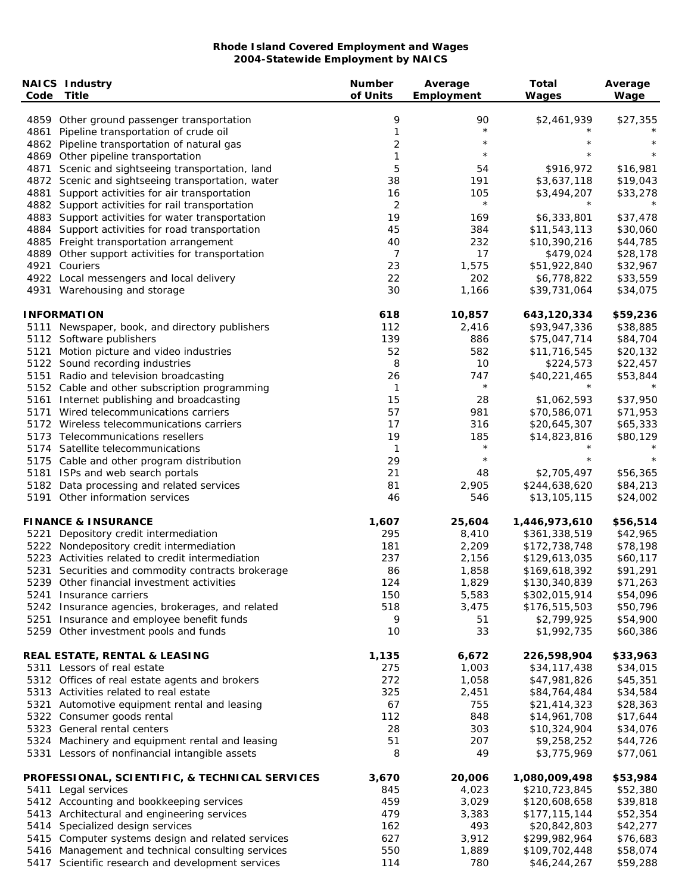| Code | <b>NAICS Industry</b><br><b>Title</b>                                        | <b>Number</b><br>of Units | Average<br>Employment | <b>Total</b><br>Wages         | Average<br>Wage      |
|------|------------------------------------------------------------------------------|---------------------------|-----------------------|-------------------------------|----------------------|
|      | 4859 Other ground passenger transportation                                   | 9                         | 90                    | \$2,461,939                   | \$27,355             |
|      | 4861 Pipeline transportation of crude oil                                    | 1                         | $\star$               | $^\star$                      |                      |
|      | 4862 Pipeline transportation of natural gas                                  | $\overline{c}$            | $\star$               | $^\star$                      | $\star$              |
|      | 4869 Other pipeline transportation                                           | 1                         | $\star$               | $^\star$                      | $\star$              |
| 4871 | Scenic and sightseeing transportation, land                                  | 5                         | 54                    | \$916,972                     | \$16,981             |
|      | 4872 Scenic and sightseeing transportation, water                            | 38                        | 191                   | \$3,637,118                   | \$19,043             |
|      | 4881 Support activities for air transportation                               | 16                        | 105                   | \$3,494,207                   | \$33,278             |
|      | 4882 Support activities for rail transportation                              | $\overline{2}$            | $\star$               | $^\star$                      |                      |
|      | 4883 Support activities for water transportation                             | 19                        | 169                   | \$6,333,801                   | \$37,478             |
|      | 4884 Support activities for road transportation                              | 45                        | 384                   | \$11,543,113                  | \$30,060             |
|      | 4885 Freight transportation arrangement                                      | 40                        | 232                   | \$10,390,216                  | \$44,785             |
|      | 4889 Other support activities for transportation                             | 7                         | 17                    | \$479,024                     | \$28,178             |
| 4921 | Couriers                                                                     | 23                        | 1,575                 | \$51,922,840                  | \$32,967             |
|      | 4922 Local messengers and local delivery                                     | 22                        | 202                   | \$6,778,822                   | \$33,559             |
|      | 4931 Warehousing and storage                                                 | 30                        | 1,166                 | \$39,731,064                  | \$34,075             |
|      | <b>INFORMATION</b>                                                           | 618                       | 10,857                | 643,120,334                   | \$59,236             |
|      | 5111 Newspaper, book, and directory publishers                               | 112                       | 2,416                 | \$93,947,336                  | \$38,885             |
|      | 5112 Software publishers                                                     | 139                       | 886                   | \$75,047,714                  | \$84,704             |
| 5121 | Motion picture and video industries                                          | 52                        | 582                   | \$11,716,545                  | \$20,132             |
|      | 5122 Sound recording industries                                              | 8                         | 10                    | \$224,573                     | \$22,457             |
|      | 5151 Radio and television broadcasting                                       | 26                        | 747                   | \$40,221,465                  | \$53,844             |
|      | 5152 Cable and other subscription programming                                | 1                         | $\star$               | $^\star$                      | $\star$              |
|      | 5161 Internet publishing and broadcasting                                    | 15                        | 28                    | \$1,062,593                   | \$37,950             |
|      | 5171 Wired telecommunications carriers                                       | 57                        | 981                   | \$70,586,071                  | \$71,953             |
|      | 5172 Wireless telecommunications carriers                                    | 17                        | 316                   | \$20,645,307                  | \$65,333             |
|      | 5173 Telecommunications resellers                                            | 19                        | 185                   | \$14,823,816                  | \$80,129             |
|      | 5174 Satellite telecommunications                                            | 1                         | $\star$               | $^\star$                      |                      |
|      | 5175 Cable and other program distribution                                    | 29                        | $\star$               | $\star$                       | $\star$              |
|      | 5181 ISPs and web search portals                                             | 21                        | 48                    | \$2,705,497                   | \$56,365             |
|      | 5182 Data processing and related services<br>5191 Other information services | 81<br>46                  | 2,905<br>546          | \$244,638,620<br>\$13,105,115 | \$84,213<br>\$24,002 |
|      | <b>FINANCE &amp; INSURANCE</b>                                               | 1,607                     | 25,604                | 1,446,973,610                 | \$56,514             |
|      | 5221 Depository credit intermediation                                        | 295                       | 8,410                 | \$361,338,519                 | \$42,965             |
|      | 5222 Nondepository credit intermediation                                     | 181                       | 2,209                 | \$172,738,748                 | \$78,198             |
|      | 5223 Activities related to credit intermediation                             | 237                       | 2,156                 | \$129,613,035                 | \$60,117             |
|      | 5231 Securities and commodity contracts brokerage                            | 86                        | 1,858                 | \$169,618,392                 | \$91,291             |
|      | 5239 Other financial investment activities                                   | 124                       | 1,829                 | \$130,340,839                 | \$71,263             |
|      | 5241 Insurance carriers                                                      | 150                       | 5,583                 | \$302,015,914                 | \$54,096             |
|      | 5242 Insurance agencies, brokerages, and related                             | 518                       | 3,475                 | \$176,515,503                 | \$50,796             |
|      | 5251 Insurance and employee benefit funds                                    | 9                         | 51                    | \$2,799,925                   | \$54,900             |
|      | 5259 Other investment pools and funds                                        | 10                        | 33                    | \$1,992,735                   | \$60,386             |
|      | <b>REAL ESTATE, RENTAL &amp; LEASING</b>                                     | 1,135                     | 6,672                 | 226,598,904                   | \$33,963             |
|      | 5311 Lessors of real estate                                                  | 275                       | 1,003                 | \$34,117,438                  | \$34,015             |
|      | 5312 Offices of real estate agents and brokers                               | 272                       | 1,058                 | \$47,981,826                  | \$45,351             |
|      | 5313 Activities related to real estate                                       | 325                       | 2,451                 | \$84,764,484                  | \$34,584             |
|      | 5321 Automotive equipment rental and leasing                                 | 67                        | 755                   | \$21,414,323                  | \$28,363             |
|      | 5322 Consumer goods rental                                                   | 112                       | 848                   | \$14,961,708                  | \$17,644             |
|      | 5323 General rental centers                                                  | 28                        | 303                   | \$10,324,904                  | \$34,076             |
|      | 5324 Machinery and equipment rental and leasing                              | 51                        | 207                   | \$9,258,252                   | \$44,726             |
|      | 5331 Lessors of nonfinancial intangible assets                               | 8                         | 49                    | \$3,775,969                   | \$77,061             |
|      | PROFESSIONAL, SCIENTIFIC, & TECHNICAL SERVICES                               | 3,670                     | 20,006                | 1,080,009,498                 | \$53,984             |
|      | 5411 Legal services                                                          | 845                       | 4,023                 | \$210,723,845                 | \$52,380             |
|      | 5412 Accounting and bookkeeping services                                     | 459                       | 3,029                 | \$120,608,658                 | \$39,818             |
|      | 5413 Architectural and engineering services                                  | 479                       | 3,383                 | \$177,115,144                 | \$52,354             |
|      | 5414 Specialized design services                                             | 162                       | 493                   | \$20,842,803                  | \$42,277             |
|      | 5415 Computer systems design and related services                            | 627                       | 3,912                 | \$299,982,964                 | \$76,683             |
|      | 5416 Management and technical consulting services                            | 550                       | 1,889                 | \$109,702,448                 | \$58,074             |
|      | 5417 Scientific research and development services                            | 114                       | 780                   | \$46,244,267                  | \$59,288             |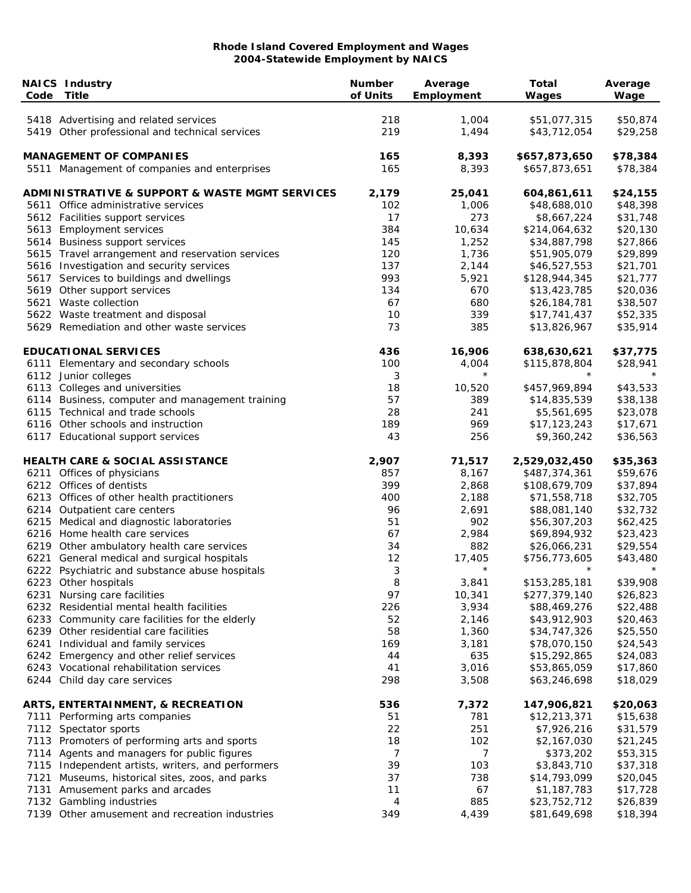| Code | <b>NAICS Industry</b><br><b>Title</b>                         | <b>Number</b><br>of Units | Average<br>Employment | <b>Total</b><br>Wages | Average<br>Wage |
|------|---------------------------------------------------------------|---------------------------|-----------------------|-----------------------|-----------------|
|      | 5418 Advertising and related services                         | 218                       | 1,004                 | \$51,077,315          | \$50,874        |
|      | 5419 Other professional and technical services                | 219                       | 1,494                 | \$43,712,054          | \$29,258        |
|      | <b>MANAGEMENT OF COMPANIES</b>                                | 165                       | 8,393                 | \$657,873,650         | \$78,384        |
|      | 5511 Management of companies and enterprises                  | 165                       | 8,393                 | \$657,873,651         | \$78,384        |
|      | <b>ADMINISTRATIVE &amp; SUPPORT &amp; WASTE MGMT SERVICES</b> | 2,179                     | 25,041                | 604,861,611           | \$24,155        |
|      | 5611 Office administrative services                           | 102                       | 1,006                 | \$48,688,010          | \$48,398        |
|      | 5612 Facilities support services                              | 17                        | 273                   | \$8,667,224           | \$31,748        |
|      | 5613 Employment services                                      | 384                       | 10,634                | \$214,064,632         | \$20,130        |
|      | 5614 Business support services                                | 145                       | 1,252                 | \$34,887,798          | \$27,866        |
|      | 5615 Travel arrangement and reservation services              | 120                       | 1,736                 | \$51,905,079          | \$29,899        |
|      | 5616 Investigation and security services                      | 137                       | 2,144                 | \$46,527,553          | \$21,701        |
|      | 5617 Services to buildings and dwellings                      | 993                       | 5,921                 | \$128,944,345         | \$21,777        |
|      | 5619 Other support services                                   | 134                       | 670                   | \$13,423,785          | \$20,036        |
|      | 5621 Waste collection                                         | 67                        | 680                   | \$26,184,781          | \$38,507        |
|      | 5622 Waste treatment and disposal                             | 10                        | 339                   | \$17,741,437          | \$52,335        |
|      | 5629 Remediation and other waste services                     | 73                        | 385                   | \$13,826,967          | \$35,914        |
|      | <b>EDUCATIONAL SERVICES</b>                                   | 436                       | 16,906                | 638,630,621           | \$37,775        |
|      | 6111 Elementary and secondary schools                         | 100                       | 4,004                 | \$115,878,804         | \$28,941        |
|      | 6112 Junior colleges                                          | 3                         | $^\star$              | $^\star$              |                 |
|      | 6113 Colleges and universities                                | 18                        | 10,520                | \$457,969,894         | \$43,533        |
|      | 6114 Business, computer and management training               | 57                        | 389                   | \$14,835,539          | \$38,138        |
|      | 6115 Technical and trade schools                              | 28                        | 241                   | \$5,561,695           | \$23,078        |
|      | 6116 Other schools and instruction                            | 189                       | 969                   | \$17,123,243          | \$17,671        |
|      | 6117 Educational support services                             | 43                        | 256                   | \$9,360,242           | \$36,563        |
|      | <b>HEALTH CARE &amp; SOCIAL ASSISTANCE</b>                    | 2,907                     | 71,517                | 2,529,032,450         | \$35,363        |
|      | 6211 Offices of physicians                                    | 857                       | 8,167                 | \$487,374,361         | \$59,676        |
|      | 6212 Offices of dentists                                      | 399                       | 2,868                 | \$108,679,709         | \$37,894        |
|      | 6213 Offices of other health practitioners                    | 400                       | 2,188                 | \$71,558,718          | \$32,705        |
|      | 6214 Outpatient care centers                                  | 96                        | 2,691                 | \$88,081,140          | \$32,732        |
|      | 6215 Medical and diagnostic laboratories                      | 51                        | 902                   | \$56,307,203          | \$62,425        |
|      | 6216 Home health care services                                | 67                        | 2,984                 | \$69,894,932          | \$23,423        |
|      | 6219 Other ambulatory health care services                    | 34                        | 882                   | \$26,066,231          | \$29,554        |
|      | 6221 General medical and surgical hospitals                   | 12                        | 17,405                | \$756,773,605         | \$43,480        |
|      | 6222 Psychiatric and substance abuse hospitals                | 3                         | $^\star$              |                       |                 |
|      | 6223 Other hospitals                                          | 8                         | 3,841                 | \$153,285,181         | \$39,908        |
|      | 6231 Nursing care facilities                                  | 97                        | 10,341                | \$277,379,140         | \$26,823        |
|      | 6232 Residential mental health facilities                     | 226                       | 3,934                 | \$88,469,276          | \$22,488        |
|      | 6233 Community care facilities for the elderly                | 52                        | 2,146                 | \$43,912,903          | \$20,463        |
|      | 6239 Other residential care facilities                        | 58                        | 1,360                 | \$34,747,326          | \$25,550        |
|      | 6241 Individual and family services                           | 169                       | 3,181                 | \$78,070,150          | \$24,543        |
|      | 6242 Emergency and other relief services                      | 44                        | 635                   | \$15,292,865          | \$24,083        |
|      | 6243 Vocational rehabilitation services                       | 41                        | 3,016                 | \$53,865,059          | \$17,860        |
|      | 6244 Child day care services                                  | 298                       | 3,508                 | \$63,246,698          | \$18,029        |
|      | ARTS, ENTERTAINMENT, & RECREATION                             | 536                       | 7,372                 | 147,906,821           | \$20,063        |
|      | 7111 Performing arts companies                                | 51                        | 781                   | \$12,213,371          | \$15,638        |
|      | 7112 Spectator sports                                         | 22                        | 251                   | \$7,926,216           | \$31,579        |
|      | 7113 Promoters of performing arts and sports                  | 18                        | 102                   | \$2,167,030           | \$21,245        |
|      | 7114 Agents and managers for public figures                   | 7                         | 7                     | \$373,202             | \$53,315        |
|      | 7115 Independent artists, writers, and performers             | 39                        | 103                   | \$3,843,710           | \$37,318        |
|      | 7121 Museums, historical sites, zoos, and parks               | 37                        | 738                   | \$14,793,099          | \$20,045        |
|      | 7131 Amusement parks and arcades                              | 11                        | 67                    | \$1,187,783           | \$17,728        |
|      | 7132 Gambling industries                                      | 4                         | 885                   | \$23,752,712          | \$26,839        |
|      | 7139 Other amusement and recreation industries                | 349                       | 4,439                 | \$81,649,698          | \$18,394        |